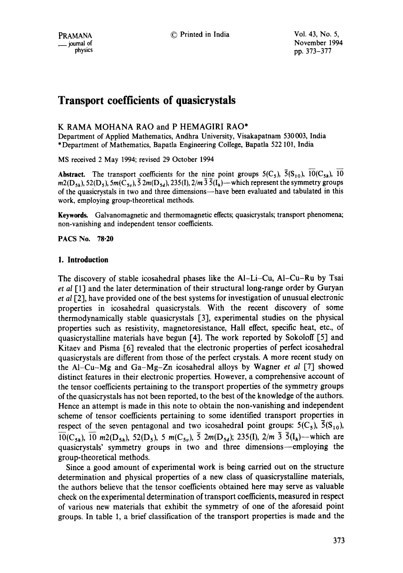pound of the set of the South Covember 1994<br>the physics of the physics of the number of the South Covember 1994 pp. 373-377

# **Transport coefficients of quasicrystals**

# K RAMA MOHANA RAO and P HEMAGIRI RAO\*

Department of Applied Mathematics, Andhra University, Visakapatnam 530003, India \*Department of Mathematics, Bapatla Engineering College, Bapatla 522 101, India

MS received 2 May 1994; revised 29 October 1994

**Abstract.** The transport coefficients for the nine point groups  $5(C_5)$ ,  $\overline{5}(S_{10})$ ,  $\overline{10}(C_{5h})$ ,  $\overline{10}$  $m_2(D_{5h})$ , 52(D<sub>5</sub>), 5 $m(\tilde{C}_{5h})$ ,  $\bar{5} 2m(D_{5d})$ , 235(I),  $2/m \bar{3} \bar{5}(I_h)$ —which represent the symmetry groups of the quasicrystals in two and three dimensions-have been evaluated and tabulated in this work, employing group-theoretical methods.

Keywards. Galvanomagnetic and thermomagnetic effects; quasicrystals; transport phenomena; non-vanishing and independent tensor coefficients.

**PACS No. 78.20** 

## **1. Introduction**

The discovery of stable icosahedral phases like the AI-Li-Cu, A1-Cu-Ru by Tsai *et al* [1] and the later determination of their structural long-range order by Guryan *et al* [2], have provided one of the best systems for investigation of unusual electronic properties in icosahedral quasicrystals. With the recent discovery of some thermodynamically stable quasicrystals [3], experimental studies on the physical properties such as resistivity, magnetoresistance, Hall effect, specific heat, etc., of quasicrystalline materials have begun [4]. The work reported by Sokoloff [5] and Kitaev and Pisma [6] revealed that the electronic properties of perfect icosahedral quasicrystals are different from those of the perfect crystals. A more recent study on the Al-Cu-Mg and Ga-Mg-Zn icosahedral alloys by Wagner *et al* [7] showed distinct features in their electronic properties. However, a comprehensive account of the tensor coefficients pertaining to the transport properties of the symmetry groups of the quasicrystals has not been reported, to the best of the knowledge of the authors. Hence an attempt is made in this note to obtain the non-vanishing and independent scheme of tensor coefficients pertaining to some identified transport properties in respect of the seven pentagonal and two icosahedral point groups:  $5(C_5)$ ,  $5(S_{10})$ ,  $10(C_{5h})$ ,  $10$  m2(D<sub>5h</sub>), 52(D<sub>5</sub>), 5 m(C<sub>5v</sub>),  $\overline{5}$  2m(D<sub>5d</sub>); 235(I), 2/m  $\overline{3}$   $\overline{5}(I_h)$ —which are quasicrystals' symmetry groups in two and three dimensions--employing the group-theoretical methods.

Since a good amount of experimental work is being carried out on the structure determination and physical properties of a new class of quasicrystalline materials, the authors believe that the tensor coefficients obtained here may serve as valuable check on the experimental determination of transport coefficients, measured in respect of various new materials that exhibit the symmetry of one of the aforesaid point groups. In table l, a brief classification of the transport properties is made and the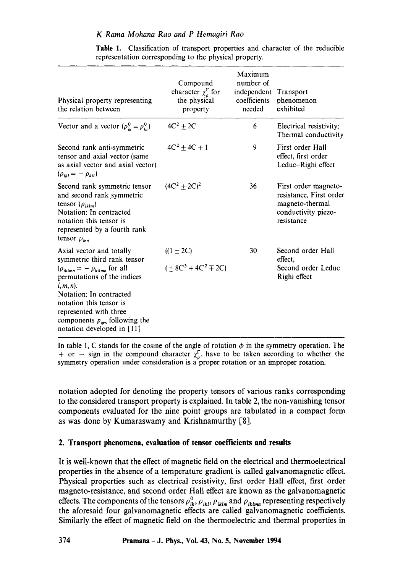| Physical property representing<br>the relation between                                                                                                                                                                                                                                                          | Compound<br>character $\chi^{\Gamma}_{\rho}$ for<br>the physical<br>property | Maximum<br>number of<br>independent Transport<br>coefficients<br>needed | phenomenon<br>exhibited                                                                                 |
|-----------------------------------------------------------------------------------------------------------------------------------------------------------------------------------------------------------------------------------------------------------------------------------------------------------------|------------------------------------------------------------------------------|-------------------------------------------------------------------------|---------------------------------------------------------------------------------------------------------|
| Vector and a vector $(\rho_{ik}^0 = \rho_{ki}^0)$                                                                                                                                                                                                                                                               | $4C^2 + 2C$                                                                  | 6                                                                       | Electrical resistivity;<br>Thermal conductivity                                                         |
| Second rank anti-symmetric<br>tensor and axial vector (same<br>as axial vector and axial vector)<br>$(\rho_{ikl} = -\rho_{kil})$                                                                                                                                                                                | $4C^2 + 4C + 1$                                                              | 9                                                                       | First order Hall<br>effect, first order<br>Leduc-Righi effect                                           |
| Second rank symmetric tensor<br>and second rank symmetric<br>tensor $(\rho_{iklm})$<br>Notation: In contracted<br>notation this tensor is<br>represented by a fourth rank<br>tensor $\rho_{mn}$                                                                                                                 | $(4C^2 \pm 2C)^2$                                                            | 36                                                                      | First order magneto-<br>resistance, First order<br>magneto-thermal<br>conductivity piezo-<br>resistance |
| Axial vector and totally<br>symmetric third rank tensor<br>$(\rho_{iklmn} = - \rho_{kilmn}$ for all<br>permutations of the indices<br>$l, m, n$ ).<br>Notation: In contracted<br>notation this tensor is<br>represented with three<br>components $p_{\text{ars}}$ following the<br>notation developed in $[11]$ | $((1 + 2C))$<br>$(+ 8C^3 + 4C^2 \mp 2C)$                                     | 30                                                                      | Second order Hall<br>effect.<br>Second order Leduc<br>Righi effect                                      |

**Table** 1. Classification of transport properties and character of the reducible representation corresponding to the physical property.

In table 1, C stands for the cosine of the angle of rotation  $\phi$  in the symmetry operation. The + or – sign in the compound character  $\chi_n^{\Gamma}$ , have to be taken according to whether the symmetry operation under consideration is a proper rotation or an improper rotation.

notation adopted for denoting the property tensors of various ranks corresponding to the considered transport property is explained. In table 2, the non-vanishing tensor components evaluated for the nine point groups are tabulated in a compact form as was done by Kumaraswamy and Krishnamurthy [8].

# **2. Transport phenomena, evaluation of tensor coefficients and results**

It is well-known that the effect of magnetic field on the electrical and thermoelectrical properties in the absence of a temperature gradient is called galvanomagnetic effect. Physical properties such as electrical resistivity, first order Hall effect, first order magneto-resistance, and second order Hall effect are known as the galvanomagnetic effects. The components of the tensors  $\rho_{ik}^0$ ,  $\rho_{ikl}$ ,  $\rho_{iklm}$  and  $\rho_{iklmn}$  representing respectively the aforesaid four galvanomagnetic effects are called galvanomagnetic coefficients. Similarly the effect of magnetic field on the thermoelectric and thermal properties in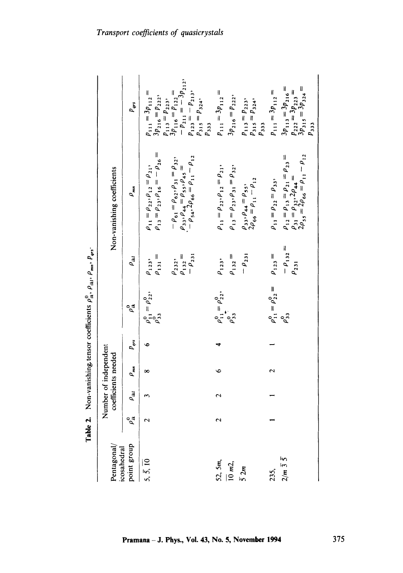|                                  |                      |                          |                      |                                     | <b>Table 2.</b> Non-vanishing tensor coefficients $\rho_{ik}^v$ , $\rho_{ikl}$ , $\rho_{mi}$ , $p_{qs}$ . |                                                   |                                                                                                                                                            |                                                                                                                        |
|----------------------------------|----------------------|--------------------------|----------------------|-------------------------------------|-----------------------------------------------------------------------------------------------------------|---------------------------------------------------|------------------------------------------------------------------------------------------------------------------------------------------------------------|------------------------------------------------------------------------------------------------------------------------|
| Pentagonal                       |                      | Number of independent    | coefficients needed  |                                     |                                                                                                           |                                                   | Non-vanishing coefficients                                                                                                                                 |                                                                                                                        |
| point group<br>icosahedral       | ್ಚೆ                  | $\rho_{ikl}$             | $\rho_{_{\sf min}}$  | $p_{\mathit{grs}}^{\phantom{\dag}}$ | $\rho_{\mu}^{\rm c}$                                                                                      | $\rho_{_{ill}}$                                   | $\rho_{_{\sf min}}$                                                                                                                                        | $P_{qrs}$                                                                                                              |
| $5, \overline{5}, \overline{10}$ | $\mathbf{\Omega}$    |                          |                      | $\bullet$                           | $\rho_{11}^0 = \rho_{22}^0,$<br>$\rho_{33}^0$                                                             | $\rho_{131} =$<br>$\rho_{123}$                    | $\rho_{13} = \rho_{23}, \rho_{16} = -\rho_{26} =$<br>$\rho_{11}=\rho_{22},\rho_{12}=\rho_{21},$                                                            | $p_{111} = 3p_{112} =$<br>$3p_{216} = p_{222}$                                                                         |
|                                  |                      |                          |                      |                                     |                                                                                                           | $\rho_{132}$ =<br>$-\rho_{231}$<br>$\rho_{232}$ , | $(\rho_{33}, \rho_{44} = \rho_{55}, \rho_{45} =$<br>$(-\rho_{34}, 2\rho_{66} = \rho_{11} - \rho_{12})$<br>$-\rho_{61} = \rho_{62}, \rho_{31} = \rho_{32},$ | $-p_{211} = -3p_{212}$<br>$p_{123} = -p_{213}$<br>$p_{113} = p_{223}$<br>$3p_{116} = p_{122} =$<br>$p_{315} = p_{324}$ |
| 52, 5m,<br>$\frac{1}{10}$ m2,    | $\mathbf{\tilde{c}}$ | $\overline{\mathcal{C}}$ | $\bullet$            | 4                                   | $\rho_{11}^0 = \rho_{22}^0$ ,<br>$\rho_{33}^0$ ,                                                          | $\rho_{132} =$<br>$\rho_{123}$                    | $\rho_{11}=\rho_{22},\rho_{12}=\rho_{21},$<br>$\rho_{13}=\rho_{23},\rho_{31}=\rho_{32},$                                                                   | $p_{111} = 3p_{112} =$<br>$3p_{216} = p_{222}$<br>$p_{333}$                                                            |
| $\overline{5}$ 2m                |                      |                          |                      |                                     |                                                                                                           | $-\rho_{231}$                                     | $\rho_{33}, \rho_{44} = \rho_{55},$<br>$2\rho_{66} = \rho_{11} - \rho_{12}$                                                                                | $p_{113} = p_{223}$ ,<br>$p_{315} = p_{324}$ ,<br>$\rho_{333}$                                                         |
| 235,                             |                      |                          | $\mathbf{\tilde{c}}$ |                                     | $\rho_{11}^0 = \rho_{22}^0 =$                                                                             | $\rho_{123} =$                                    | $\rho_{11} = \rho_{22} = \rho_{33}$                                                                                                                        | $p_{111} = 3p_{112} =$                                                                                                 |
| $2/m \bar{3} \bar{5}$            |                      |                          |                      |                                     | $\rho_{33}^{\circ}$                                                                                       | $-\rho_{132} =$<br>$\rho_{231}$                   | $\begin{array}{l} \rho_{12}=\rho_{13}=\rho_{21}=\rho_{23}=\\ \rho_{31}=\rho_{32}, 2\rho_{44}=\ 2\rho_{55}=2\rho_{66}=\rho_{11}-\rho_{12} \end{array}$      | $\begin{array}{l} p_{222} = 3p_{223} = \\ 3p_{315} = 3p_{324} = \end{array}$<br>$3p_{113} = 3p_{216} =$<br>$p_{333}$   |
|                                  |                      |                          |                      |                                     |                                                                                                           |                                                   |                                                                                                                                                            |                                                                                                                        |

 $\circ$ -9 ੰ≝ ا<br>ماهين

375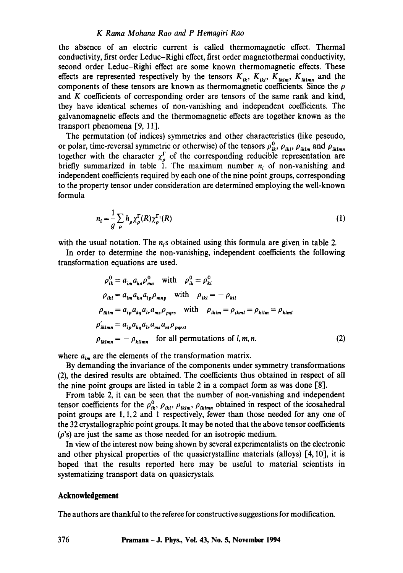#### *K Rama Mohana Rao and P Hemaoiri Rao*

the absence of an electric current is called thermomagnetic effect. Thermal conductivity, first order Leduc-Righi effect, first order magnetothermal conductivity, second order Leduc-Righi effect are some known thermomagnetic effects. These effects are represented respectively by the tensors  $K_{ik}$ ,  $K_{ikl}$ ,  $K_{iklm}$ ,  $K_{iklm}$  and the components of these tensors are known as thermomagnetic coefficients. Since the  $\rho$ and K coefficients of corresponding order are tensors of the same rank and kind, they have identical schemes of non-vanishing and independent coefficients. The galvanomagnetic effects and the thermomagnetic effects are together known as the transport phenomena [9, 11].

The permutation (of indices) symmetries and other characteristics (like peseudo, or polar, time-reversal symmetric or otherwise) of the tensors  $\rho_{ik}^0$ ,  $\rho_{ik}$ ,  $\rho_{iklm}$  and  $\rho_{iklmn}$ together with the character  $\chi^i_{\alpha}$  of the corresponding reducible representation are briefly summarized in table 1. The maximum number  $n<sub>i</sub>$  of non-vanishing and independent coefficients required by each one of the nine point groups, corresponding to the property tensor under consideration are determined employing the well-known formula

$$
n_i = \frac{1}{g} \sum_{\rho} h_{\rho} \chi_{\rho}^{\Gamma}(R) \chi_{\rho}^{\Gamma}(R)
$$
 (1)

with the usual notation. The  $n<sub>i</sub>$ s obtained using this formula are given in table 2.

In order to determine the non-vanishing, independent coefficients the following transformation equations are used.

$$
\rho_{ik}^{0} = a_{im} a_{kn} \rho_{mn}^{0} \quad \text{with} \quad \rho_{ik}^{0} = \rho_{ki}^{0}
$$
\n
$$
\rho_{ikl} = a_{im} a_{kn} a_{lp} \rho_{mnp} \quad \text{with} \quad \rho_{ikl} = -\rho_{kil}
$$
\n
$$
\rho_{iklm} = a_{ip} a_{kq} a_{lr} a_{ms} \rho_{pqrs} \quad \text{with} \quad \rho_{ikim} = \rho_{ikml} = \rho_{kilm} = \rho_{kiml}
$$
\n
$$
\rho'_{iklmn} = a_{ip} a_{kq} a_{lr} a_{ms} a_{nl} \rho_{pqrs}
$$
\n
$$
\rho_{iklmn} = -\rho_{kilmn} \quad \text{for all permutations of } l, m, n. \tag{2}
$$

where  $a_{im}$  are the elements of the transformation matrix.

By demanding the invariance of the components under symmetry transformations (2), the desired results are obtained. The coefficients thus obtained in respect of all the nine point groups are listed in table 2 in a compact form as was done [8].

From table 2, it can be seen that the number of non-vanishing and independent tensor coefficients for the  $\rho_{ik}^0$ ,  $\rho_{ikl}$ ,  $\rho_{iklmn}$ ,  $\rho_{iklmn}$  obtained in respect of the icosahedral point groups are 1, 1, 2 and 1 respectively, fewer than those needed for any one of the 32 crystallographic point groups. It may be noted that the above tensor coefficients  $(\rho)$ 's) are just the same as those needed for an isotropic medium.

In view of the interest now being shown by several experimentalists on the electronic and other physical properties of the quasicrystalline materials (alloys) [4, 10], it is hoped that the results reported here may be useful to material scientists in systematizing transport data on quasicrystals.

#### **Acknowledgement**

The authors are thankful to the referee for constructive suggestions for modification.